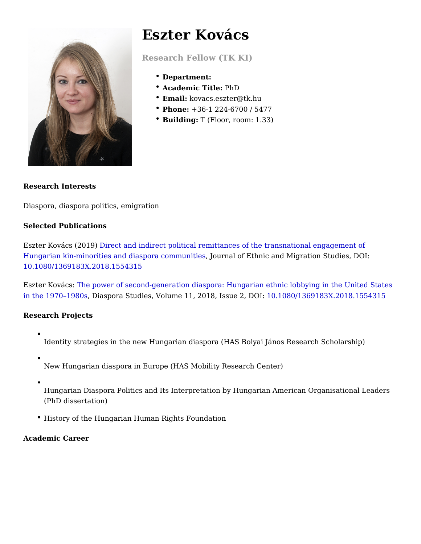# Eszter Kovács

Research Fellow (TK KI)

- Department:
- Academic TitlPehD
- Email: kovacs.eszter@tk.hu
- Phone: +36-1 224-6700 / 5477
- \* BuildingT (Floor, room: 1.33)

Research Interests

Diaspora, diaspora politics, emigration

Selected Publications

Eszter Kovács (2011e9c)t and indirect political remittances of the transnational enga [Hungarian kin-minorities and diaspor](https://www.tandfonline.com/doi/abs/10.1080/1369183X.2018.1554315)a dommahidfesthnic and Migration Studies, D [10.1080/1369183X.2018.](https://doi.org/10.1080/1369183X.2018.1554315)1554315

Eszter Kovárdas: power of second-generation diaspora: Hungarian ethnic lobbying i [in the 1970 1](https://www.tandfonline.com/doi/abs/10.1080/09739572.2017.1398374?journalCode=rdst20)98DCiaspora Studies, Volume 11, 2018,10s\$0&0213D6O9 h83X.2018.155431

Research Projects

- Identity strategies in the new Hungarian diaspora (HAS Bolyai János Researd
- New Hungarian diaspora in Europe (HAS Mobility Research Center)
- 

Hungarian Diaspora Politics and Its Interpretation by Hungarian American Or (PhD dissertation)

History of the Hungarian Human Rights Foundation

Academic Career